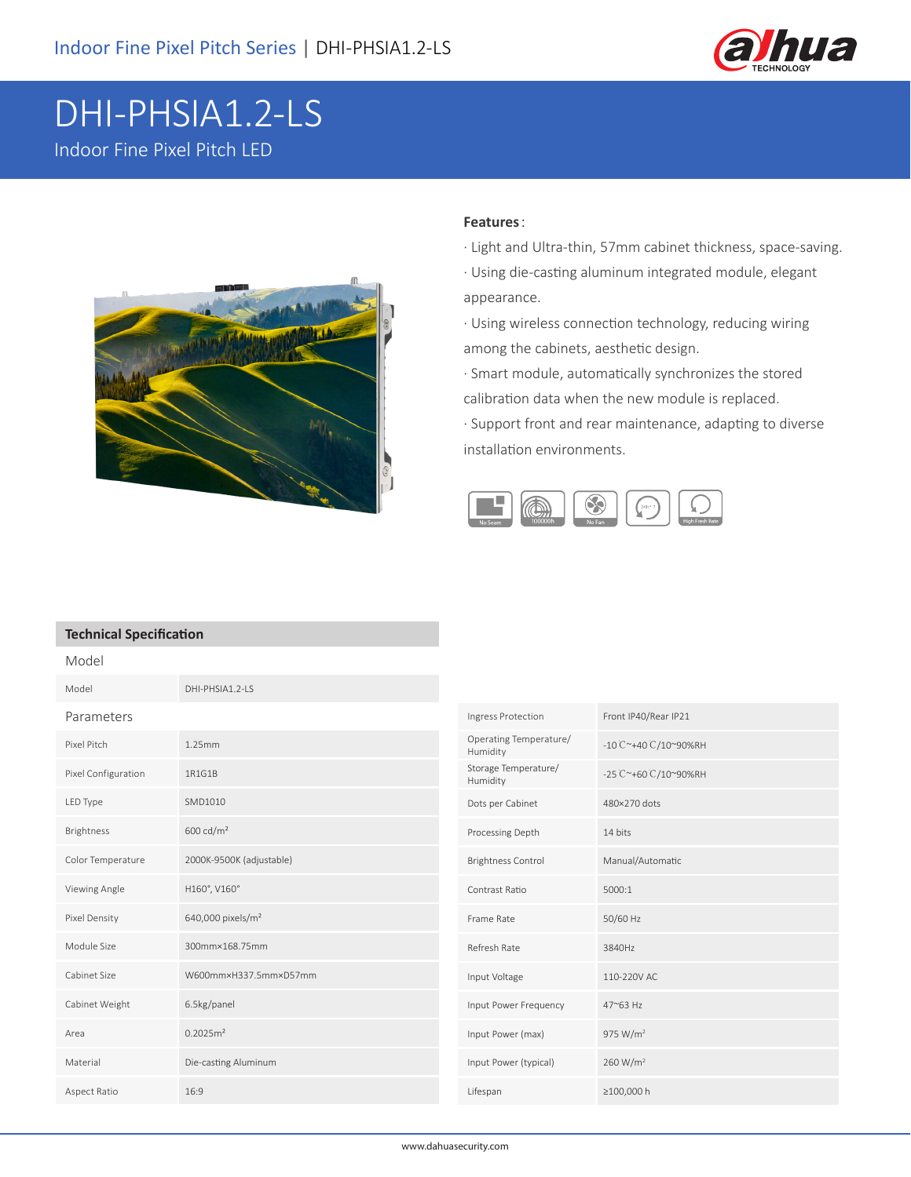

## DHI-PHSIA1.2-LS Indoor Fine Pixel Pitch LED



## **Features**:

- · Light and Ultra-thin, 57mm cabinet thickness, space-saving.
- · Using die-casting aluminum integrated module, elegant appearance.

· Using wireless connection technology, reducing wiring among the cabinets, aesthetic design.

· Smart module, automatically synchronizes the stored calibration data when the new module is replaced.

· Support front and rear maintenance, adapting to diverse installation environments.



## **Technical Specification**

| Model               |                               |                                    |                      |
|---------------------|-------------------------------|------------------------------------|----------------------|
| Model               | DHI-PHSIA1.2-LS               |                                    |                      |
| Parameters          |                               | Ingress Protection                 | Front IP40/Rear IP21 |
| Pixel Pitch         | 1.25mm                        | Operating Temperature/<br>Humidity | -10 C~+40 C/10~90%RH |
| Pixel Configuration | 1R1G1B                        | Storage Temperature/<br>Humidity   | -25 C~+60 C/10~90%RH |
| LED Type            | SMD1010                       | Dots per Cabinet                   | 480×270 dots         |
| <b>Brightness</b>   | 600 cd/ $m2$                  | Processing Depth                   | 14 bits              |
| Color Temperature   | 2000K-9500K (adjustable)      | <b>Brightness Control</b>          | Manual/Automatic     |
| Viewing Angle       | H160°, V160°                  | Contrast Ratio                     | 5000:1               |
| Pixel Density       | 640,000 pixels/m <sup>2</sup> | Frame Rate                         | 50/60 Hz             |
| Module Size         | 300mm×168.75mm                | Refresh Rate                       | 3840Hz               |
| Cabinet Size        | W600mm×H337.5mm×D57mm         | Input Voltage                      | 110-220V AC          |
| Cabinet Weight      | 6.5kg/panel                   | Input Power Frequency              | 47~63 Hz             |
| Area                | 0.2025m <sup>2</sup>          | Input Power (max)                  | 975 W/m <sup>2</sup> |
| Material            | Die-casting Aluminum          | Input Power (typical)              | 260 W/m <sup>2</sup> |
| Aspect Ratio        | 16:9                          | Lifespan                           | ≥100,000 h           |